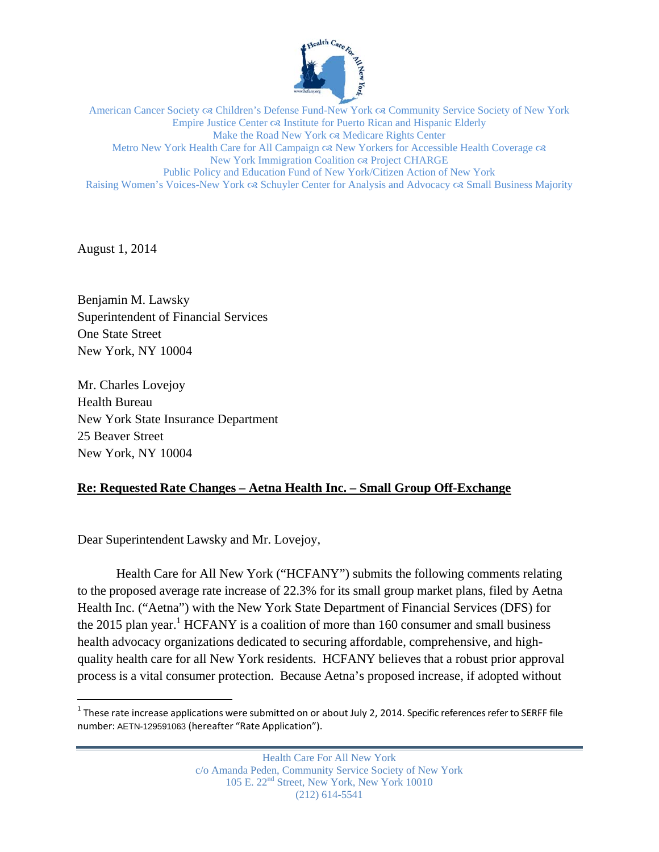

American Cancer Society  $\infty$  Children's Defense Fund-New York  $\infty$  Community Service Society of New York Empire Justice Center  $\infty$  Institute for Puerto Rican and Hispanic Elderly Make the Road New York  $\infty$  Medicare Rights Center Metro New York Health Care for All Campaign  $\infty$  New Yorkers for Accessible Health Coverage  $\infty$ New York Immigration Coalition & Project CHARGE Public Policy and Education Fund of New York/Citizen Action of New York Raising Women's Voices-New York  $\alpha$  Schuyler Center for Analysis and Advocacy  $\alpha$  Small Business Majority

August 1, 2014

 $\overline{a}$ 

Benjamin M. Lawsky Superintendent of Financial Services One State Street New York, NY 10004

Mr. Charles Lovejoy Health Bureau New York State Insurance Department 25 Beaver Street New York, NY 10004

## **Re: Requested Rate Changes – Aetna Health Inc. – Small Group Off-Exchange**

Dear Superintendent Lawsky and Mr. Lovejoy,

Health Care for All New York ("HCFANY") submits the following comments relating to the proposed average rate increase of 22.3% for its small group market plans, filed by Aetna Health Inc. ("Aetna") with the New York State Department of Financial Services (DFS) for the 2015 plan year.<sup>1</sup> HCFANY is a coalition of more than 160 consumer and small business health advocacy organizations dedicated to securing affordable, comprehensive, and highquality health care for all New York residents. HCFANY believes that a robust prior approval process is a vital consumer protection. Because Aetna's proposed increase, if adopted without

 $1$  These rate increase applications were submitted on or about July 2, 2014. Specific references refer to SERFF file number: AETN-129591063 (hereafter "Rate Application").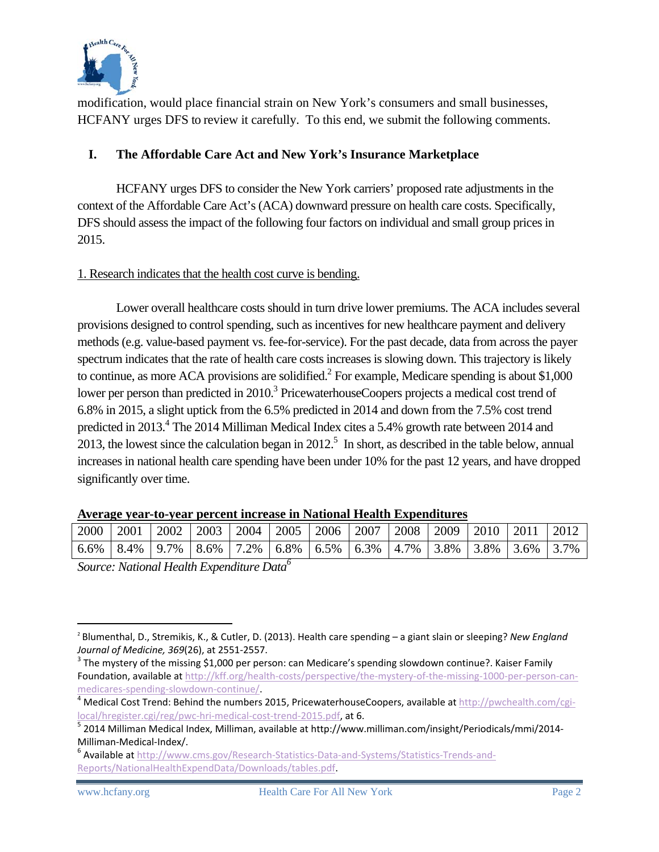

modification, would place financial strain on New York's consumers and small businesses, HCFANY urges DFS to review it carefully. To this end, we submit the following comments.

## **I. The Affordable Care Act and New York's Insurance Marketplace**

HCFANY urges DFS to consider the New York carriers' proposed rate adjustments in the context of the Affordable Care Act's (ACA) downward pressure on health care costs. Specifically, DFS should assess the impact of the following four factors on individual and small group prices in 2015.

## 1. Research indicates that the health cost curve is bending.

Lower overall healthcare costs should in turn drive lower premiums. The ACA includes several provisions designed to control spending, such as incentives for new healthcare payment and delivery methods (e.g. value-based payment vs. fee-for-service). For the past decade, data from across the payer spectrum indicates that the rate of health care costs increases is slowing down. This trajectory is likely to continue, as more ACA provisions are solidified. $^2$  For example, Medicare spending is about \$1,000 lower per person than predicted in 2010.<sup>3</sup> PricewaterhouseCoopers projects a medical cost trend of 6.8% in 2015, a slight uptick from the 6.5% predicted in 2014 and down from the 7.5% cost trend predicted in 2013.<sup>4</sup> The 2014 Milliman Medical Index cites a 5.4% growth rate between 2014 and 2013, the lowest since the calculation began in 2012.<sup>5</sup> In short, as described in the table below, annual increases in national health care spending have been under 10% for the past 12 years, and have dropped significantly over time.

| 2000 | 2001 |  |  |  | 2002   2003   2004   2005   2006                                                                                                      |  | 2007   2008   2009   2010   2011 |  |  |  | 2012 |
|------|------|--|--|--|---------------------------------------------------------------------------------------------------------------------------------------|--|----------------------------------|--|--|--|------|
| 6.6% |      |  |  |  | $\mid 8.4\% \mid 9.7\% \mid 8.6\% \mid 7.2\% \mid 6.8\% \mid 6.5\% \mid 6.3\% \mid 4.7\% \mid 3.8\% \mid 3.8\% \mid 3.6\% \mid 3.7\%$ |  |                                  |  |  |  |      |
|      |      |  |  |  |                                                                                                                                       |  |                                  |  |  |  |      |

**Average year-to-year percent increase in National Health Expenditures** 

*Source: National Health Expenditure Data6*

 $\overline{a}$ 

<sup>2</sup> Blumenthal, D., Stremikis, K., & Cutler, D. (2013). Health care spending – a giant slain or sleeping? *New England Journal of Medicine, 369*(26), at 2551-2557.<br><sup>3</sup> The mystery of the missing \$1,000 per person: can Medicare's spending slowdown continue?. Kaiser Family

Foundation, available at http://kff.org/health-costs/perspective/the-mystery-of-the-missing-1000-per-person-can-

medicares-spending-slowdown-continue/.<br><sup>4</sup> Medical Cost Trend: Behind the numbers 2015, PricewaterhouseCoopers, available at http://pwchealth.com/cgi-<br>local/hregister.cgi/reg/pwc-hri-medical-cost-trend-2015.pdf, at 6.

 $5$  2014 Milliman Medical Index, Milliman, available at http://www.milliman.com/insight/Periodicals/mmi/2014-Milliman-Medical-Index/.<br><sup>6</sup> Available at http://www.cms.gov/Research-Statistics-Data-and-Systems/Statistics-Trends-and-

Reports/NationalHealthExpendData/Downloads/tables.pdf.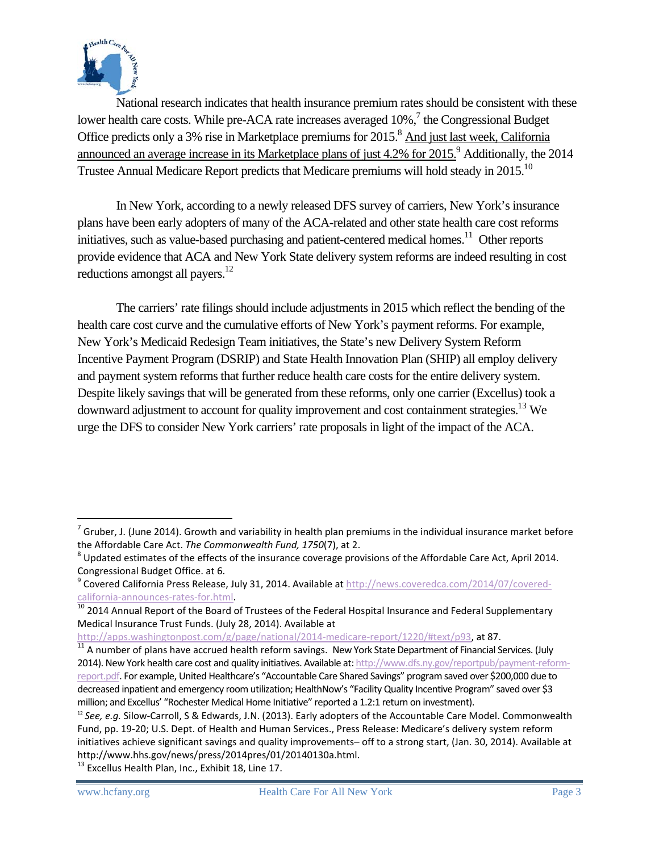

National research indicates that health insurance premium rates should be consistent with these lower health care costs. While pre-ACA rate increases averaged  $10\%$ ,  $\frac{7}{1}$  the Congressional Budget Office predicts only a 3% rise in Marketplace premiums for 2015.<sup>8</sup> And just last week, California announced an average increase in its Marketplace plans of just 4.2% for 2015.<sup>9</sup> Additionally, the 2014 Trustee Annual Medicare Report predicts that Medicare premiums will hold steady in 2015.<sup>10</sup>

In New York, according to a newly released DFS survey of carriers, New York's insurance plans have been early adopters of many of the ACA-related and other state health care cost reforms initiatives, such as value-based purchasing and patient-centered medical homes.<sup>11</sup> Other reports provide evidence that ACA and New York State delivery system reforms are indeed resulting in cost reductions amongst all payers.<sup>12</sup>

The carriers' rate filings should include adjustments in 2015 which reflect the bending of the health care cost curve and the cumulative efforts of New York's payment reforms. For example, New York's Medicaid Redesign Team initiatives, the State's new Delivery System Reform Incentive Payment Program (DSRIP) and State Health Innovation Plan (SHIP) all employ delivery and payment system reforms that further reduce health care costs for the entire delivery system. Despite likely savings that will be generated from these reforms, only one carrier (Excellus) took a downward adjustment to account for quality improvement and cost containment strategies.<sup>13</sup> We urge the DFS to consider New York carriers' rate proposals in light of the impact of the ACA.

 $\overline{a}$ 

 $<sup>7</sup>$  Gruber, J. (June 2014). Growth and variability in health plan premiums in the individual insurance market before</sup> the Affordable Care Act. *The Commonwealth Fund, 1750*(7), at 2.<br><sup>8</sup> Updated estimates of the effects of the insurance coverage provisions of the Affordable Care Act, April 2014.

Congressional Budget Office. at 6.<br><sup>9</sup> Covered California Press Release, July 31, 2014. Available at http://news.coveredca.com/2014/07/covered-

california-announces-rates-for.html.<br><sup>10</sup> 2014 Annual Report of the Board of Trustees of the Federal Hospital Insurance and Federal Supplementary

Medical Insurance Trust Funds. (July 28, 2014). Available at

http://apps.washingtonpost.com/g/page/national/2014-medicare-report/1220/#text/p93, at 87.<br><sup>11</sup> A number of plans have accrued health reform savings. New York State Department of Financial Services. (July 2014). New York health care cost and quality initiatives. Available at: http://www.dfs.ny.gov/reportpub/payment-reformreport.pdf. For example, United Healthcare's "Accountable Care Shared Savings" program saved over \$200,000 due to decreased inpatient and emergency room utilization; HealthNow's "Facility Quality Incentive Program" saved over \$3 million; and Excellus' "Rochester Medical Home Initiative" reported a 1.2:1 return on investment).

<sup>&</sup>lt;sup>12</sup> See, e.g. Silow-Carroll, S & Edwards, J.N. (2013). Early adopters of the Accountable Care Model. Commonwealth Fund, pp. 19‐20; U.S. Dept. of Health and Human Services., Press Release: Medicare's delivery system reform initiatives achieve significant savings and quality improvements– off to a strong start, (Jan. 30, 2014). Available at http://www.hhs.gov/news/press/2014pres/01/20140130a.html.<br><sup>13</sup> Excellus Health Plan, Inc., Exhibit 18, Line 17.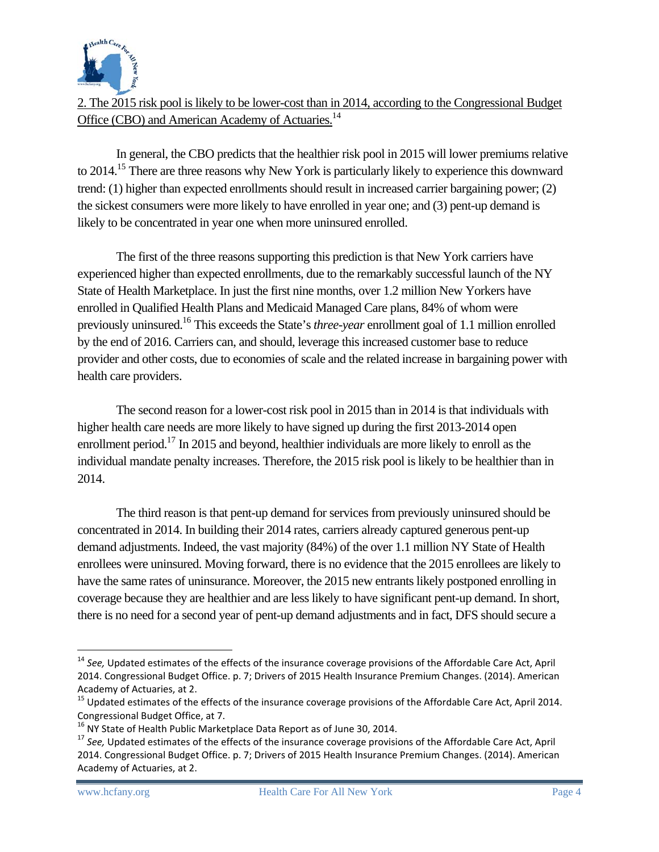

# 2. The 2015 risk pool is likely to be lower-cost than in 2014, according to the Congressional Budget Office (CBO) and American Academy of Actuaries.<sup>14</sup>

In general, the CBO predicts that the healthier risk pool in 2015 will lower premiums relative to 2014.<sup>15</sup> There are three reasons why New York is particularly likely to experience this downward trend: (1) higher than expected enrollments should result in increased carrier bargaining power; (2) the sickest consumers were more likely to have enrolled in year one; and (3) pent-up demand is likely to be concentrated in year one when more uninsured enrolled.

The first of the three reasons supporting this prediction is that New York carriers have experienced higher than expected enrollments, due to the remarkably successful launch of the NY State of Health Marketplace. In just the first nine months, over 1.2 million New Yorkers have enrolled in Qualified Health Plans and Medicaid Managed Care plans, 84% of whom were previously uninsured.16 This exceeds the State's *three-year* enrollment goal of 1.1 million enrolled by the end of 2016. Carriers can, and should, leverage this increased customer base to reduce provider and other costs, due to economies of scale and the related increase in bargaining power with health care providers.

The second reason for a lower-cost risk pool in 2015 than in 2014 is that individuals with higher health care needs are more likely to have signed up during the first 2013-2014 open enrollment period.<sup>17</sup> In 2015 and beyond, healthier individuals are more likely to enroll as the individual mandate penalty increases. Therefore, the 2015 risk pool is likely to be healthier than in 2014.

The third reason is that pent-up demand for services from previously uninsured should be concentrated in 2014. In building their 2014 rates, carriers already captured generous pent-up demand adjustments. Indeed, the vast majority (84%) of the over 1.1 million NY State of Health enrollees were uninsured. Moving forward, there is no evidence that the 2015 enrollees are likely to have the same rates of uninsurance. Moreover, the 2015 new entrants likely postponed enrolling in coverage because they are healthier and are less likely to have significant pent-up demand. In short, there is no need for a second year of pent-up demand adjustments and in fact, DFS should secure a

-

<sup>&</sup>lt;sup>14</sup> See. Updated estimates of the effects of the insurance coverage provisions of the Affordable Care Act, April 2014. Congressional Budget Office. p. 7; Drivers of 2015 Health Insurance Premium Changes. (2014). American

Academy of Actuaries, at 2.<br><sup>15</sup> Updated estimates of the effects of the insurance coverage provisions of the Affordable Care Act, April 2014.

Congressional Budget Office, at 7.<br><sup>16</sup> NY State of Health Public Marketplace Data Report as of June 30, 2014.<br><sup>17</sup> See, Updated estimates of the effects of the insurance coverage provisions of the Affordable Care Act, Apr 2014. Congressional Budget Office. p. 7; Drivers of 2015 Health Insurance Premium Changes. (2014). American Academy of Actuaries, at 2.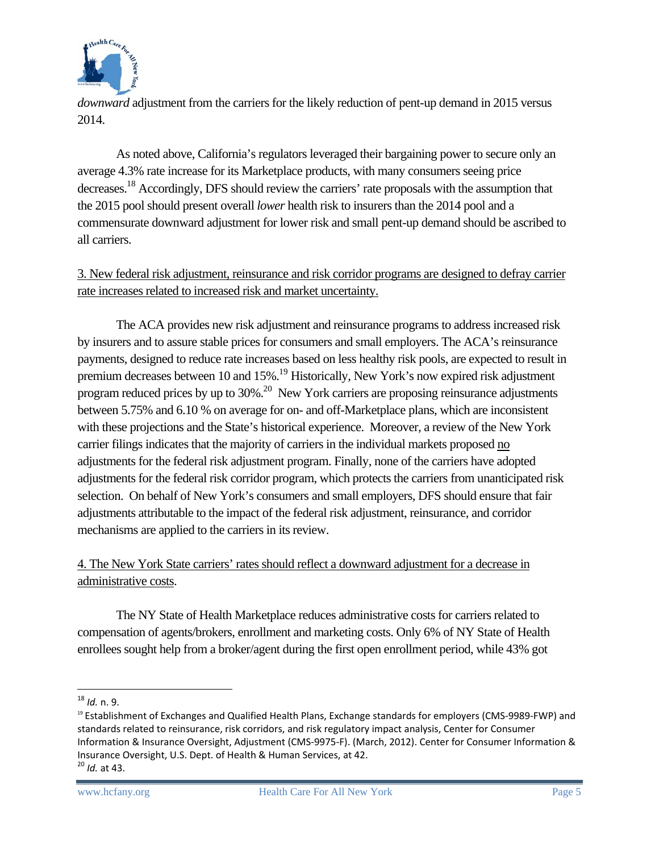

*downward* adjustment from the carriers for the likely reduction of pent-up demand in 2015 versus 2014.

As noted above, California's regulators leveraged their bargaining power to secure only an average 4.3% rate increase for its Marketplace products, with many consumers seeing price decreases.18 Accordingly, DFS should review the carriers' rate proposals with the assumption that the 2015 pool should present overall *lower* health risk to insurers than the 2014 pool and a commensurate downward adjustment for lower risk and small pent-up demand should be ascribed to all carriers.

3. New federal risk adjustment, reinsurance and risk corridor programs are designed to defray carrier rate increases related to increased risk and market uncertainty.

The ACA provides new risk adjustment and reinsurance programs to address increased risk by insurers and to assure stable prices for consumers and small employers. The ACA's reinsurance payments, designed to reduce rate increases based on less healthy risk pools, are expected to result in premium decreases between 10 and 15%.<sup>19</sup> Historically, New York's now expired risk adjustment program reduced prices by up to  $30\%$ <sup>20</sup> New York carriers are proposing reinsurance adjustments between 5.75% and 6.10 % on average for on- and off-Marketplace plans, which are inconsistent with these projections and the State's historical experience. Moreover, a review of the New York carrier filings indicates that the majority of carriers in the individual markets proposed no adjustments for the federal risk adjustment program. Finally, none of the carriers have adopted adjustments for the federal risk corridor program, which protects the carriers from unanticipated risk selection. On behalf of New York's consumers and small employers, DFS should ensure that fair adjustments attributable to the impact of the federal risk adjustment, reinsurance, and corridor mechanisms are applied to the carriers in its review.

# 4. The New York State carriers' rates should reflect a downward adjustment for a decrease in administrative costs.

The NY State of Health Marketplace reduces administrative costs for carriers related to compensation of agents/brokers, enrollment and marketing costs. Only 6% of NY State of Health enrollees sought help from a broker/agent during the first open enrollment period, while 43% got

<sup>&</sup>lt;u>.</u> <sup>18</sup> *Id.* n. 9.

<sup>&</sup>lt;sup>19</sup> Establishment of Exchanges and Qualified Health Plans, Exchange standards for employers (CMS-9989-FWP) and standards related to reinsurance, risk corridors, and risk regulatory impact analysis, Center for Consumer Information & Insurance Oversight, Adjustment (CMS‐9975‐F). (March, 2012). Center for Consumer Information & Insurance Oversight, U.S. Dept. of Health & Human Services, at 42. <sup>20</sup> *Id.* at 43.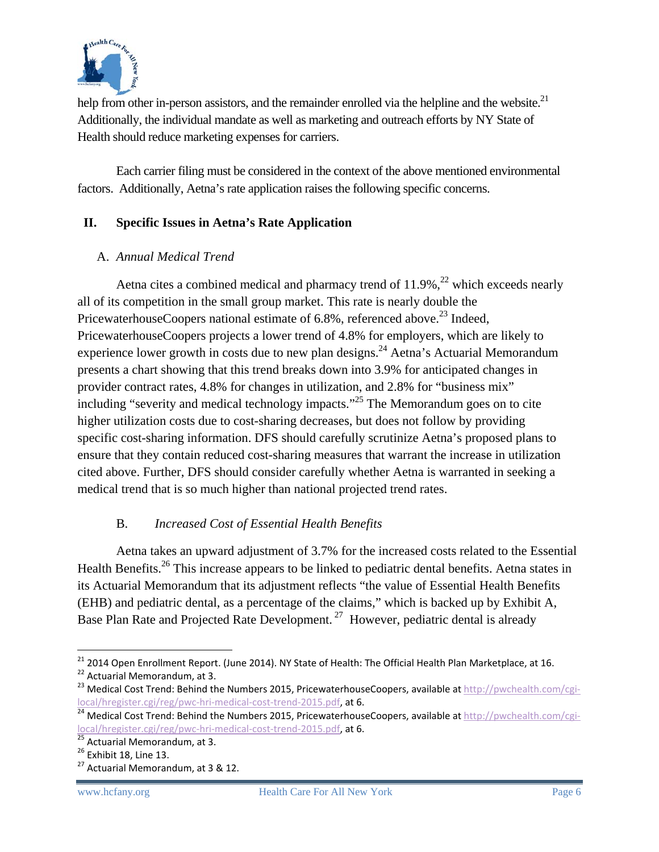

help from other in-person assistors, and the remainder enrolled via the helpline and the website. $^{21}$ Additionally, the individual mandate as well as marketing and outreach efforts by NY State of Health should reduce marketing expenses for carriers.

Each carrier filing must be considered in the context of the above mentioned environmental factors. Additionally, Aetna's rate application raises the following specific concerns.

## **II. Specific Issues in Aetna's Rate Application**

## A. *Annual Medical Trend*

Aetna cites a combined medical and pharmacy trend of  $11.9\%$ ,<sup>22</sup> which exceeds nearly all of its competition in the small group market. This rate is nearly double the PricewaterhouseCoopers national estimate of 6.8%, referenced above.<sup>23</sup> Indeed, PricewaterhouseCoopers projects a lower trend of 4.8% for employers, which are likely to experience lower growth in costs due to new plan designs.<sup>24</sup> Aetna's Actuarial Memorandum presents a chart showing that this trend breaks down into 3.9% for anticipated changes in provider contract rates, 4.8% for changes in utilization, and 2.8% for "business mix" including "severity and medical technology impacts."25 The Memorandum goes on to cite higher utilization costs due to cost-sharing decreases, but does not follow by providing specific cost-sharing information. DFS should carefully scrutinize Aetna's proposed plans to ensure that they contain reduced cost-sharing measures that warrant the increase in utilization cited above. Further, DFS should consider carefully whether Aetna is warranted in seeking a medical trend that is so much higher than national projected trend rates.

## B. *Increased Cost of Essential Health Benefits*

Aetna takes an upward adjustment of 3.7% for the increased costs related to the Essential Health Benefits.<sup>26</sup> This increase appears to be linked to pediatric dental benefits. Aetna states in its Actuarial Memorandum that its adjustment reflects "the value of Essential Health Benefits (EHB) and pediatric dental, as a percentage of the claims," which is backed up by Exhibit A, Base Plan Rate and Projected Rate Development.<sup>27</sup> However, pediatric dental is already

<sup>&</sup>lt;sup>21</sup> 2014 Open Enrollment Report. (June 2014). NY State of Health: The Official Health Plan Marketplace, at 16. <sup>22</sup> Actuarial Memorandum, at 3.<br><sup>23</sup> Medical Cost Trend: Behind the Numbers 2015, PricewaterhouseCoopers, available at http://pwchealth.com/cgi-

local/hregister.cgi/reg/pwc-hri-medical-cost-trend-2015.pdf, at 6.<br><sup>24</sup> Medical Cost Trend: Behind the Numbers 2015, PricewaterhouseCoopers, available at http://pwchealth.com/cgi-

local/hregister.cgi/reg/pwc-hri-medical-cost-trend-2015.pdf, at 6.<br><sup>25</sup> Actuarial Memorandum, at 3.<br><sup>26</sup> Exhibit 18, Line 13.<br><sup>27</sup> Actuarial Memorandum, at 3 & 12.